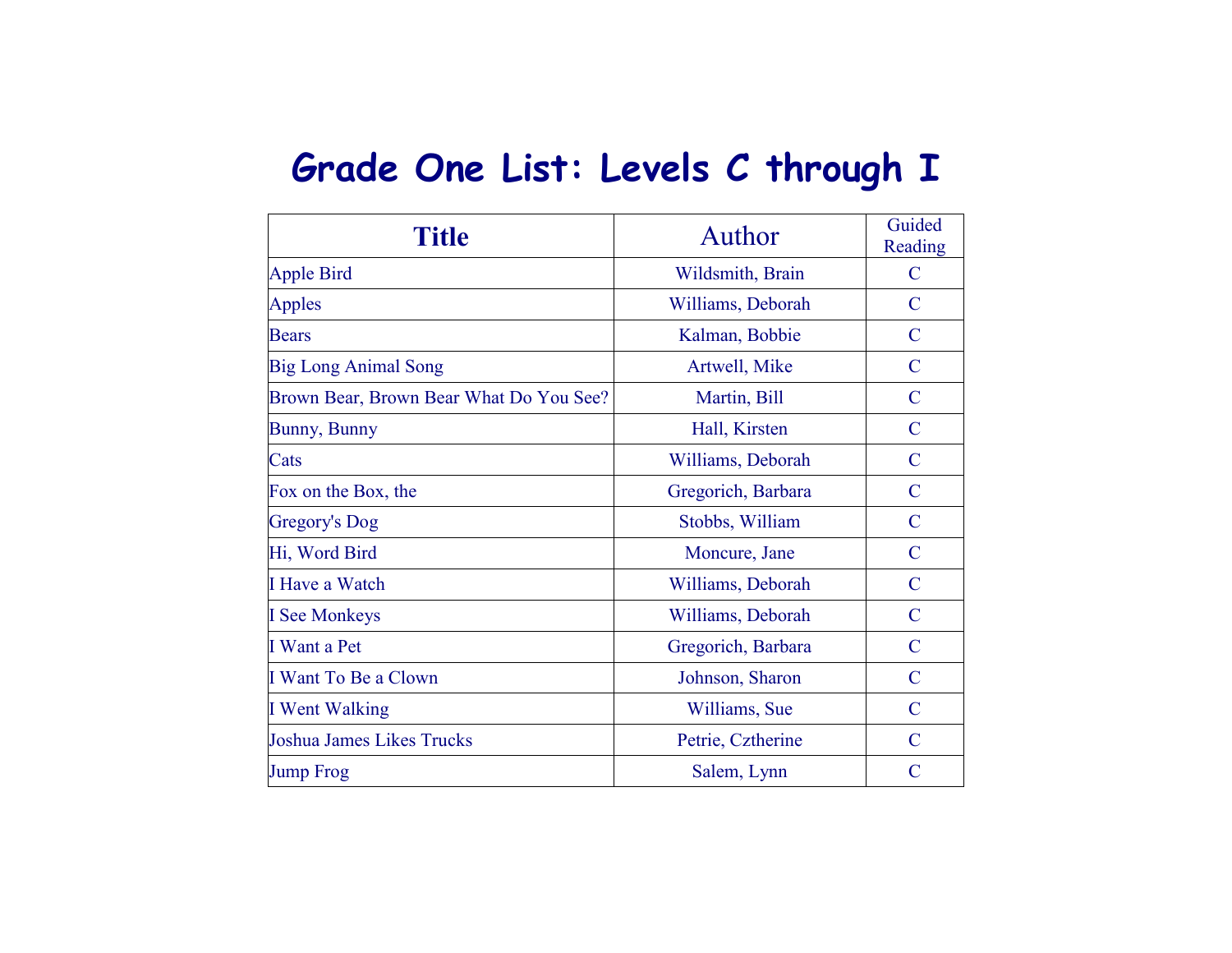## **Grade One List: Levels C through I**

| <b>Title</b>                            | Author             | Guided<br>Reading |
|-----------------------------------------|--------------------|-------------------|
| <b>Apple Bird</b>                       | Wildsmith, Brain   | C                 |
| <b>Apples</b>                           | Williams, Deborah  | $\mathcal{C}$     |
| <b>Bears</b>                            | Kalman, Bobbie     | $\mathbf C$       |
| <b>Big Long Animal Song</b>             | Artwell, Mike      | $\mathcal{C}$     |
| Brown Bear, Brown Bear What Do You See? | Martin, Bill       | $\mathcal{C}$     |
| <b>Bunny, Bunny</b>                     | Hall, Kirsten      | $\mathcal{C}$     |
| Cats                                    | Williams, Deborah  | $\mathcal{C}$     |
| Fox on the Box, the                     | Gregorich, Barbara | $\mathcal{C}$     |
| Gregory's Dog                           | Stobbs, William    | $\mathcal{C}$     |
| Hi, Word Bird                           | Moncure, Jane      | $\mathcal{C}$     |
| I Have a Watch                          | Williams, Deborah  | $\mathcal{C}$     |
| <b>I</b> See Monkeys                    | Williams, Deborah  | $\mathcal{C}$     |
| I Want a Pet                            | Gregorich, Barbara | $\mathcal{C}$     |
| I Want To Be a Clown                    | Johnson, Sharon    | $\mathcal{C}$     |
| I Went Walking                          | Williams, Sue      | $\mathcal{C}$     |
| <b>Joshua James Likes Trucks</b>        | Petrie, Cztherine  | $\mathcal{C}$     |
| <b>Jump Frog</b>                        | Salem, Lynn        | C                 |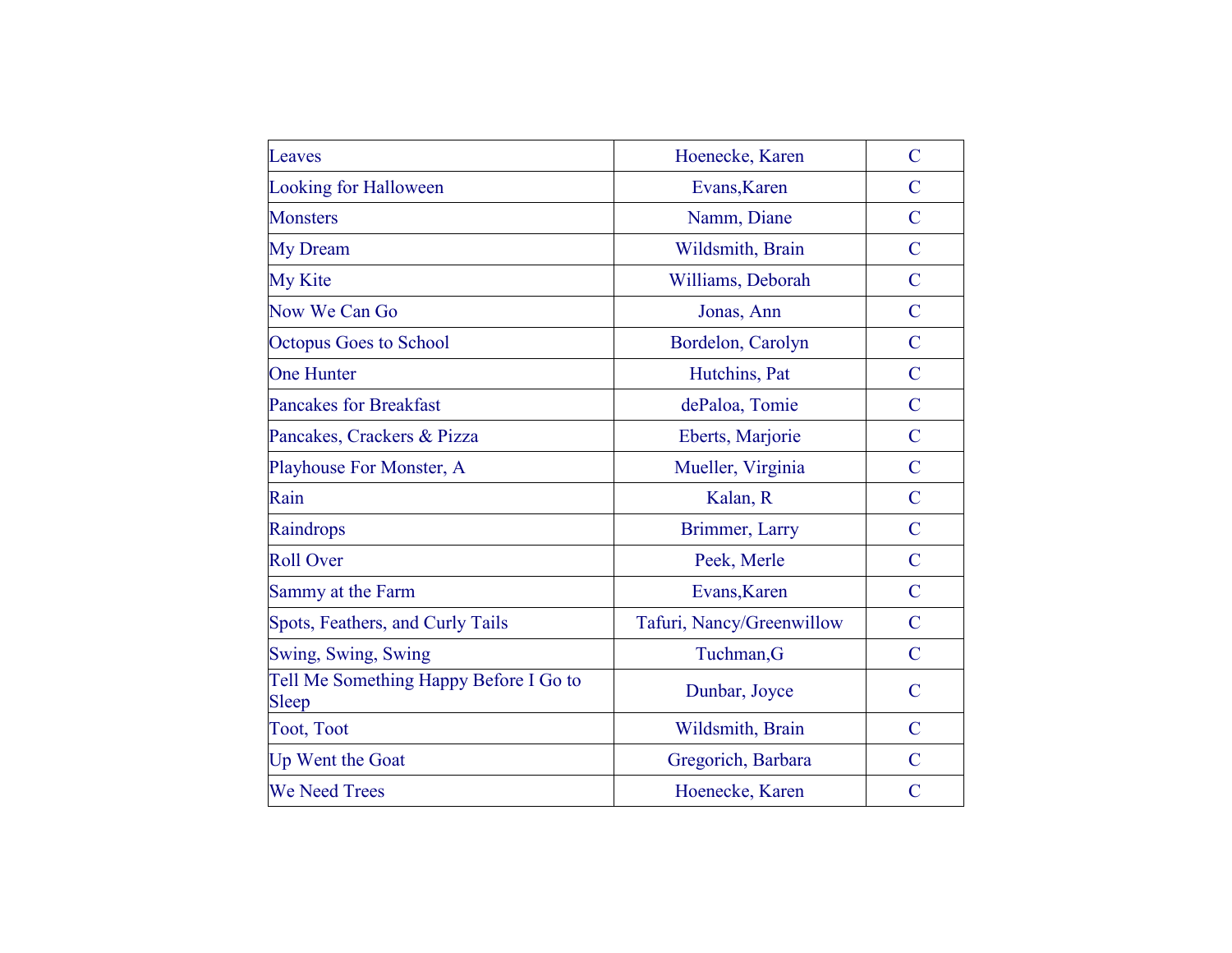| Leaves                                          | Hoenecke, Karen           | $\overline{C}$ |
|-------------------------------------------------|---------------------------|----------------|
| <b>Looking for Halloween</b>                    | Evans, Karen              | $\mathcal{C}$  |
| <b>Monsters</b>                                 | Namm, Diane               | $\overline{C}$ |
| <b>My Dream</b>                                 | Wildsmith, Brain          | $\overline{C}$ |
| <b>My Kite</b>                                  | Williams, Deborah         | $\mathbf C$    |
| Now We Can Go                                   | Jonas, Ann                | $\overline{C}$ |
| <b>Octopus Goes to School</b>                   | Bordelon, Carolyn         | $\overline{C}$ |
| <b>One Hunter</b>                               | Hutchins, Pat             | $\overline{C}$ |
| <b>Pancakes for Breakfast</b>                   | dePaloa, Tomie            | $\overline{C}$ |
| Pancakes, Crackers & Pizza                      | Eberts, Marjorie          | $\overline{C}$ |
| Playhouse For Monster, A                        | Mueller, Virginia         | $\overline{C}$ |
| Rain                                            | Kalan, R                  | $\overline{C}$ |
| Raindrops                                       | Brimmer, Larry            | $\overline{C}$ |
| <b>Roll Over</b>                                | Peek, Merle               | $\mathcal{C}$  |
| Sammy at the Farm                               | Evans, Karen              | $\overline{C}$ |
| Spots, Feathers, and Curly Tails                | Tafuri, Nancy/Greenwillow | $\overline{C}$ |
| Swing, Swing, Swing                             | Tuchman, G                | $\overline{C}$ |
| Tell Me Something Happy Before I Go to<br>Sleep | Dunbar, Joyce             | $\mathcal{C}$  |
| <b>Toot, Toot</b>                               | Wildsmith, Brain          | $\overline{C}$ |
| Up Went the Goat                                | Gregorich, Barbara        | $\overline{C}$ |
| <b>We Need Trees</b>                            | Hoenecke, Karen           | $\overline{C}$ |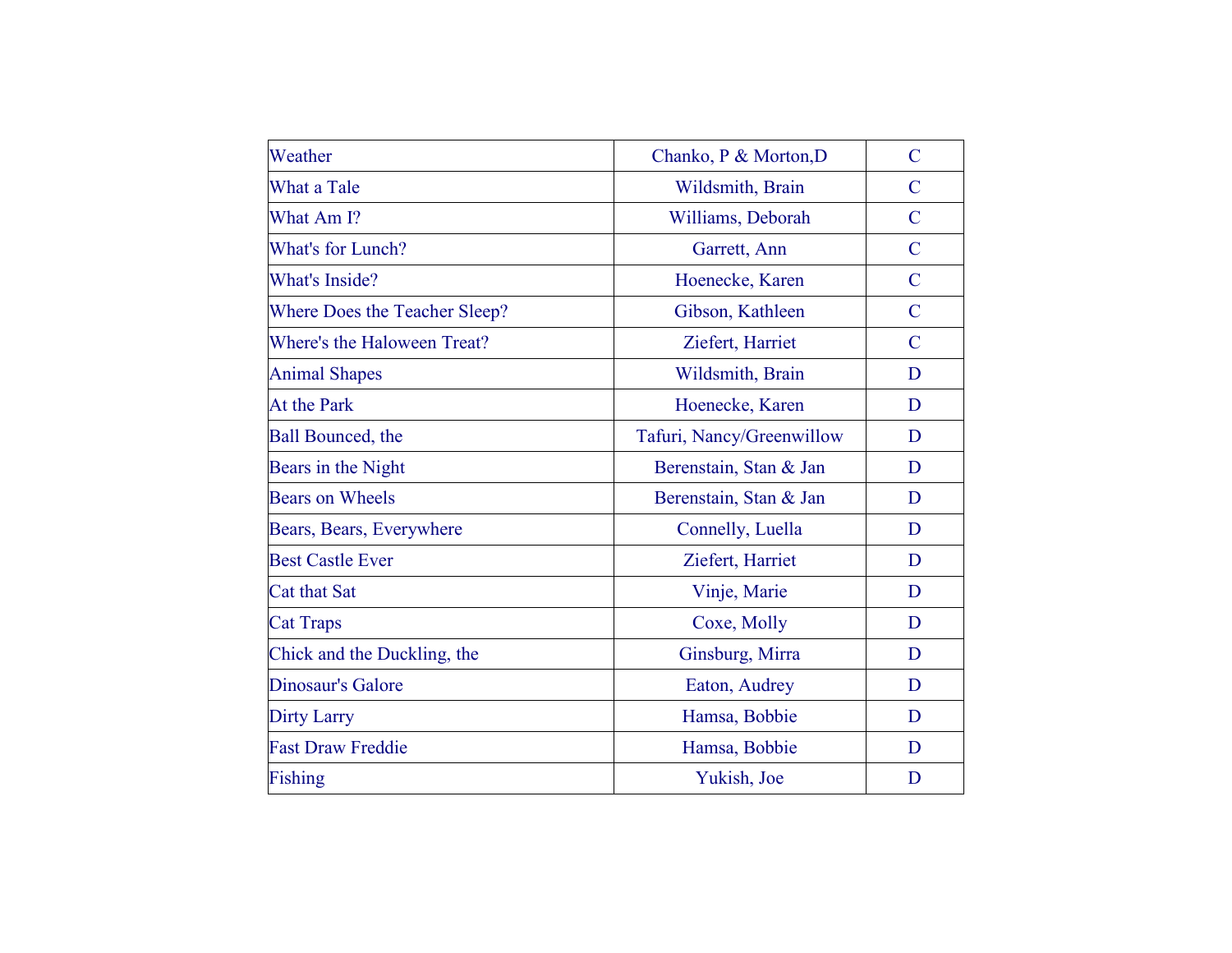| Weather                       | Chanko, P & Morton, D     | $\overline{C}$ |
|-------------------------------|---------------------------|----------------|
| What a Tale                   | Wildsmith, Brain          | $\mathcal{C}$  |
| What Am I?                    | Williams, Deborah         | $\overline{C}$ |
| What's for Lunch?             | Garrett, Ann              | $\mathbf C$    |
| What's Inside?                | Hoenecke, Karen           | $\overline{C}$ |
| Where Does the Teacher Sleep? | Gibson, Kathleen          | $\mathbf C$    |
| Where's the Haloween Treat?   | Ziefert, Harriet          | $\mathcal{C}$  |
| <b>Animal Shapes</b>          | Wildsmith, Brain          | D              |
| <b>At the Park</b>            | Hoenecke, Karen           | D              |
| <b>Ball Bounced</b> , the     | Tafuri, Nancy/Greenwillow | D              |
| Bears in the Night            | Berenstain, Stan & Jan    | D              |
| <b>Bears on Wheels</b>        | Berenstain, Stan & Jan    | D              |
| Bears, Bears, Everywhere      | Connelly, Luella          | D              |
| <b>Best Castle Ever</b>       | Ziefert, Harriet          | D              |
| <b>Cat that Sat</b>           | Vinje, Marie              | D              |
| <b>Cat Traps</b>              | Coxe, Molly               | D              |
| Chick and the Duckling, the   | Ginsburg, Mirra           | D              |
| Dinosaur's Galore             | Eaton, Audrey             | D              |
| <b>Dirty Larry</b>            | Hamsa, Bobbie             | D              |
| <b>Fast Draw Freddie</b>      | Hamsa, Bobbie             | D              |
| Fishing                       | Yukish, Joe               | D              |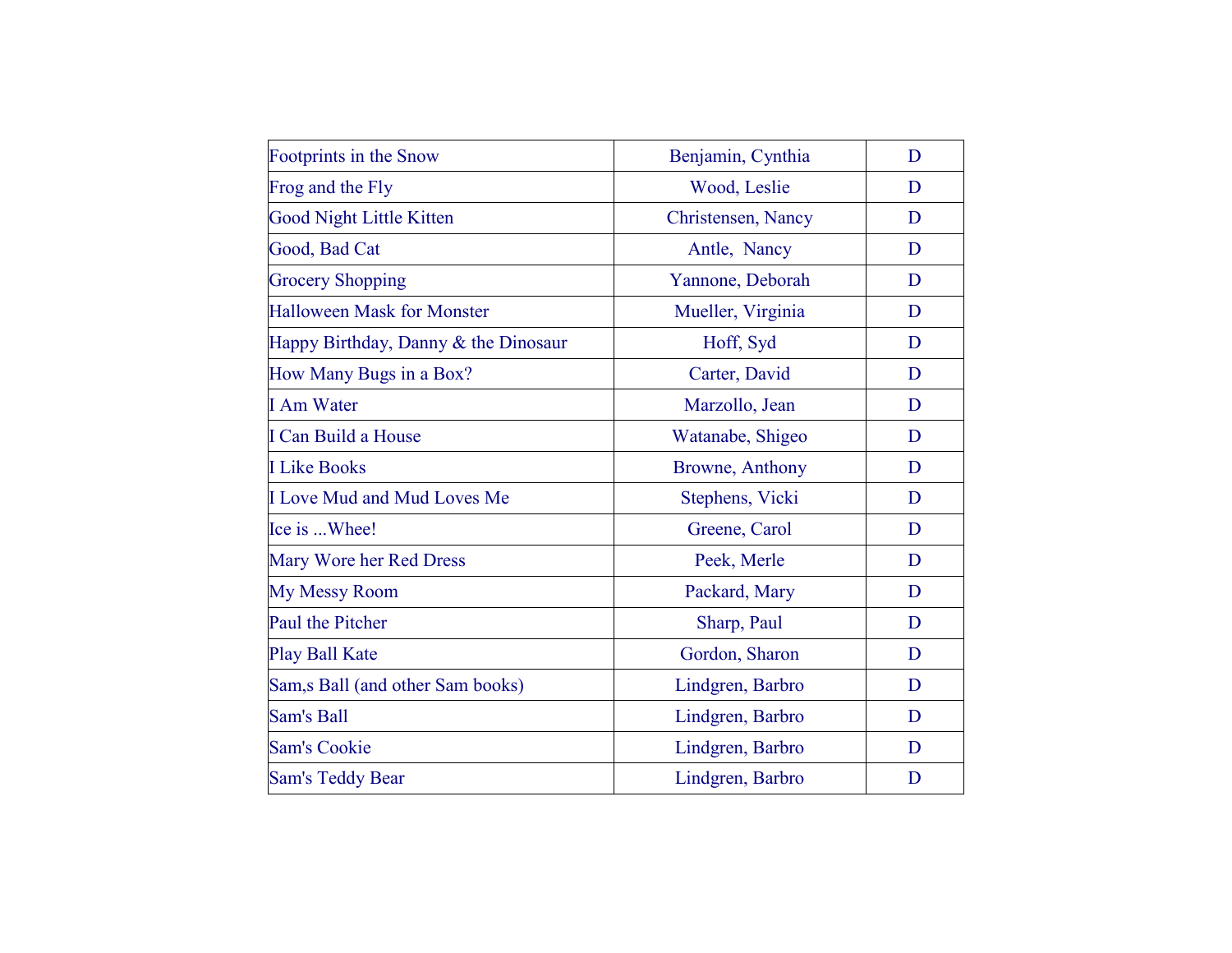| Benjamin, Cynthia  | D |
|--------------------|---|
| Wood, Leslie       | D |
| Christensen, Nancy | D |
| Antle, Nancy       | D |
| Yannone, Deborah   | D |
| Mueller, Virginia  | D |
| Hoff, Syd          | D |
| Carter, David      | D |
| Marzollo, Jean     | D |
| Watanabe, Shigeo   | D |
| Browne, Anthony    | D |
| Stephens, Vicki    | D |
| Greene, Carol      | D |
| Peek, Merle        | D |
| Packard, Mary      | D |
| Sharp, Paul        | D |
| Gordon, Sharon     | D |
| Lindgren, Barbro   | D |
| Lindgren, Barbro   | D |
| Lindgren, Barbro   | D |
| Lindgren, Barbro   | D |
|                    |   |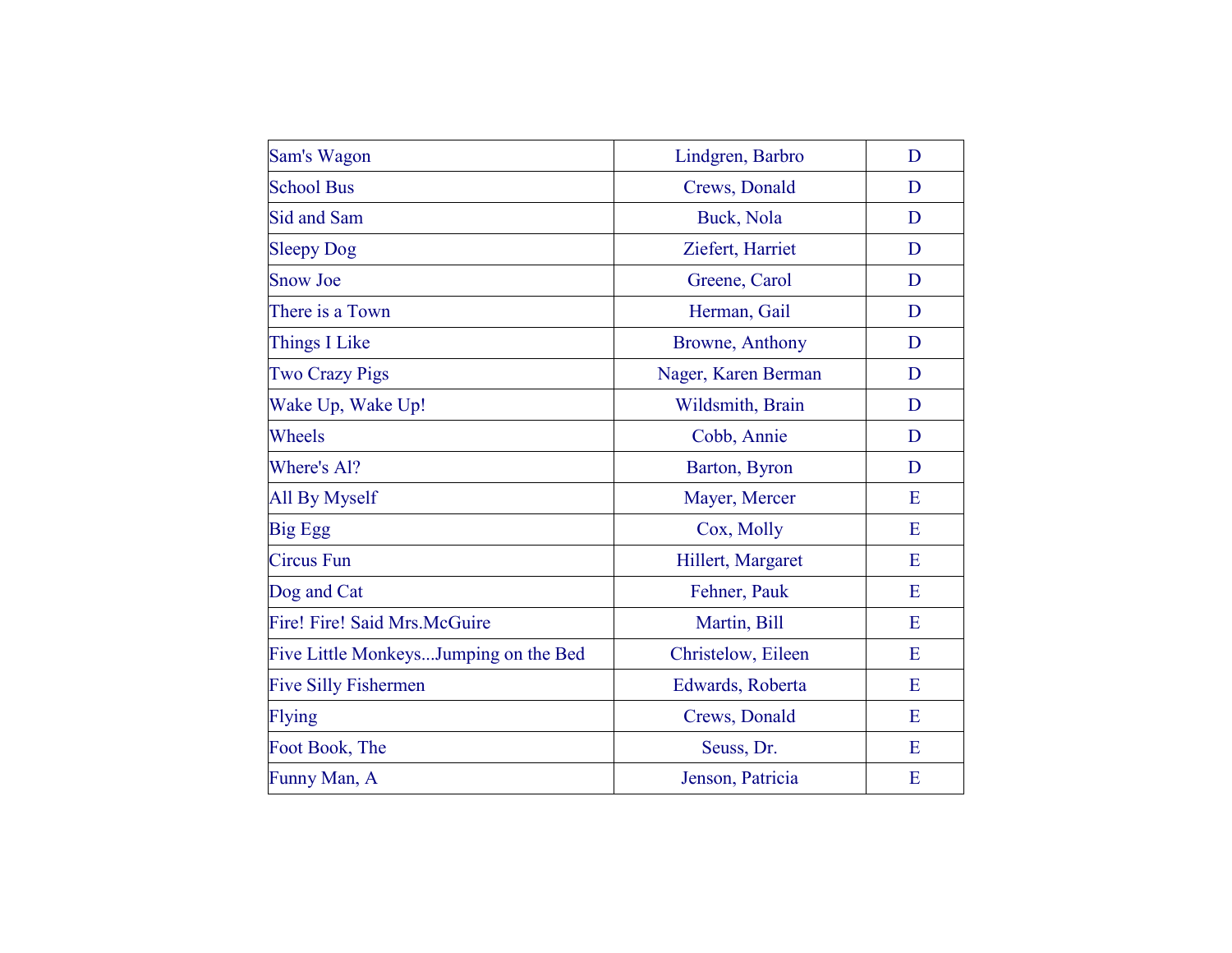| Sam's Wagon                           | Lindgren, Barbro    | D |
|---------------------------------------|---------------------|---|
| <b>School Bus</b>                     | Crews, Donald       | D |
| Sid and Sam                           | Buck, Nola          | D |
| <b>Sleepy Dog</b>                     | Ziefert, Harriet    | D |
| <b>Snow Joe</b>                       | Greene, Carol       | D |
| There is a Town                       | Herman, Gail        | D |
| <b>Things I Like</b>                  | Browne, Anthony     | D |
| <b>Two Crazy Pigs</b>                 | Nager, Karen Berman | D |
| Wake Up, Wake Up!                     | Wildsmith, Brain    | D |
| Wheels                                | Cobb, Annie         | D |
| Where's Al?                           | Barton, Byron       | D |
| All By Myself                         | Mayer, Mercer       | E |
| <b>Big Egg</b>                        | Cox, Molly          | E |
| <b>Circus</b> Fun                     | Hillert, Margaret   | E |
| Dog and Cat                           | Fehner, Pauk        | E |
| Fire! Fire! Said Mrs.McGuire          | Martin, Bill        | E |
| Five Little MonkeysJumping on the Bed | Christelow, Eileen  | E |
| <b>Five Silly Fishermen</b>           | Edwards, Roberta    | E |
| <b>Flying</b>                         | Crews, Donald       | E |
| Foot Book, The                        | Seuss, Dr.          | E |
| Funny Man, A                          | Jenson, Patricia    | E |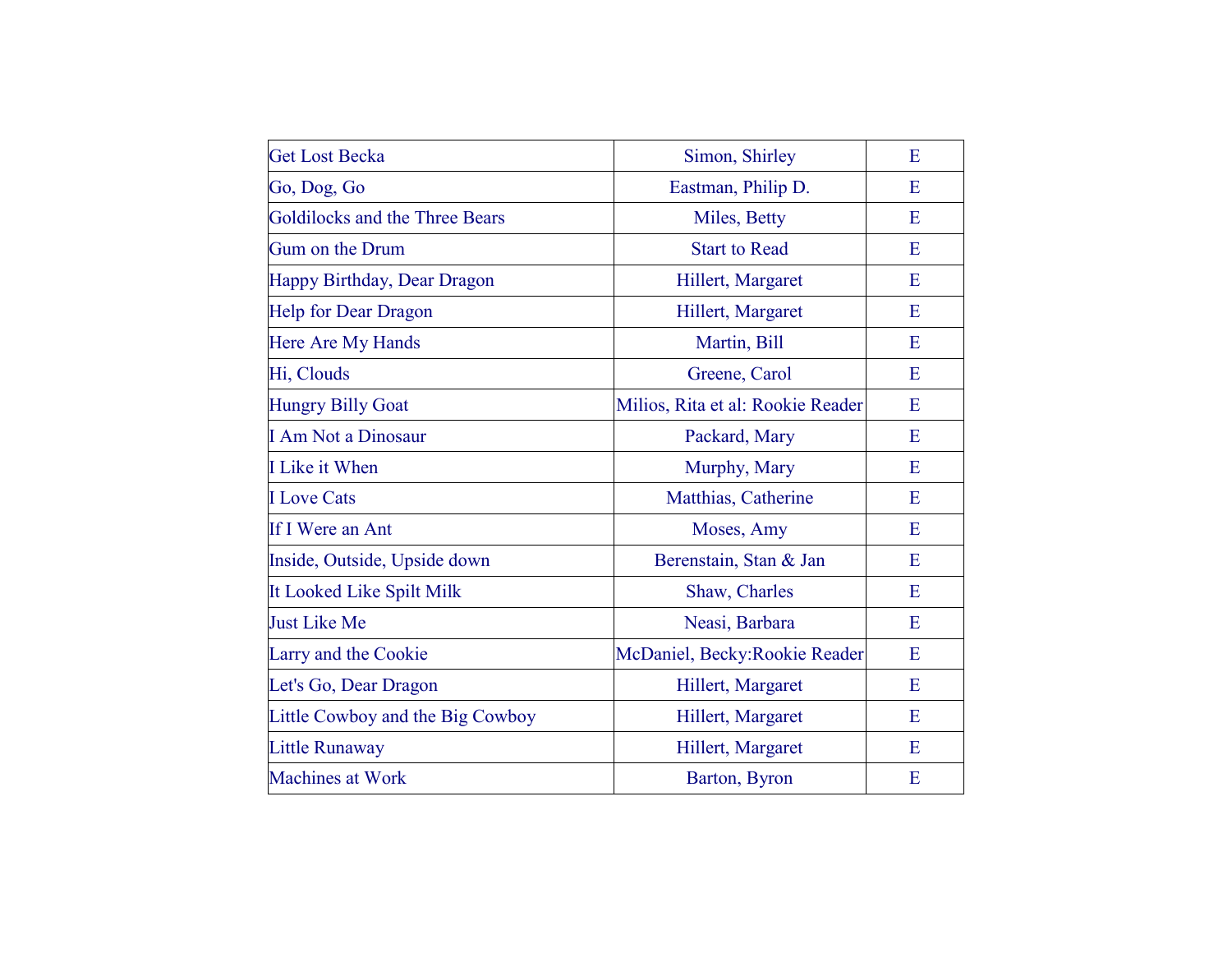| <b>Get Lost Becka</b>            | Simon, Shirley                    | E |
|----------------------------------|-----------------------------------|---|
| Go, Dog, Go                      | Eastman, Philip D.                | E |
| Goldilocks and the Three Bears   | Miles, Betty                      | E |
| Gum on the Drum                  | <b>Start to Read</b>              | E |
| Happy Birthday, Dear Dragon      | Hillert, Margaret                 | E |
| <b>Help for Dear Dragon</b>      | Hillert, Margaret                 | E |
| Here Are My Hands                | Martin, Bill                      | E |
| Hi, Clouds                       | Greene, Carol                     | E |
| <b>Hungry Billy Goat</b>         | Milios, Rita et al: Rookie Reader | E |
| <b>I Am Not a Dinosaur</b>       | Packard, Mary                     | E |
| I Like it When                   | Murphy, Mary                      | E |
| <b>I</b> Love Cats               | Matthias, Catherine               | E |
| If I Were an Ant                 | Moses, Amy                        | E |
| Inside, Outside, Upside down     | Berenstain, Stan & Jan            | E |
| It Looked Like Spilt Milk        | Shaw, Charles                     | E |
| Just Like Me                     | Neasi, Barbara                    | E |
| Larry and the Cookie             | McDaniel, Becky: Rookie Reader    | E |
| Let's Go, Dear Dragon            | Hillert, Margaret                 | E |
| Little Cowboy and the Big Cowboy | Hillert, Margaret                 | E |
| <b>Little Runaway</b>            | Hillert, Margaret                 | E |
| <b>Machines at Work</b>          | Barton, Byron                     | E |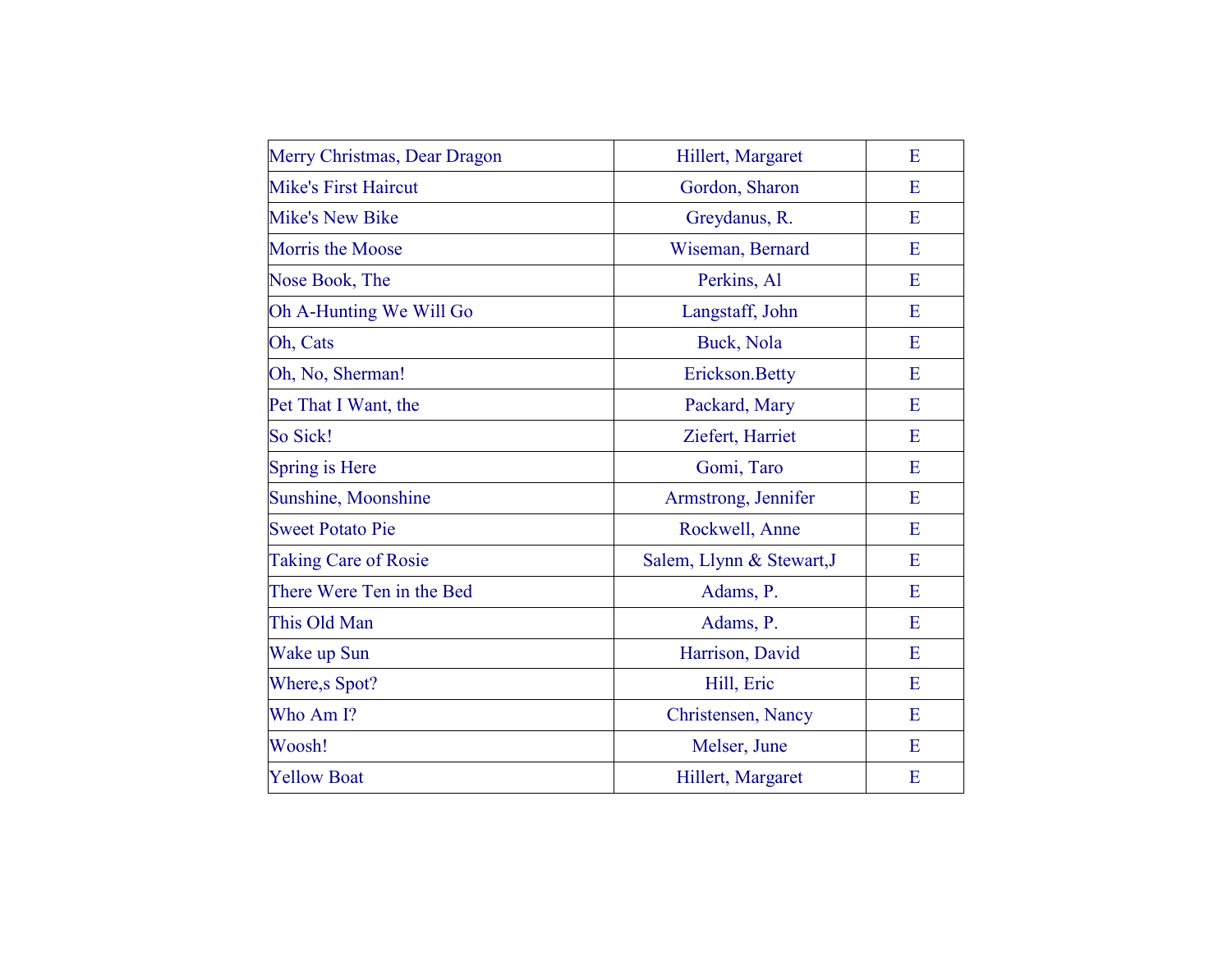| Merry Christmas, Dear Dragon | Hillert, Margaret         | E |
|------------------------------|---------------------------|---|
| <b>Mike's First Haircut</b>  | Gordon, Sharon            | E |
| <b>Mike's New Bike</b>       | Greydanus, R.             | E |
| <b>Morris the Moose</b>      | Wiseman, Bernard          | E |
| Nose Book, The               | Perkins, Al               | E |
| Oh A-Hunting We Will Go      | Langstaff, John           | E |
| Oh, Cats                     | Buck, Nola                | E |
| Oh, No, Sherman!             | Erickson.Betty            | E |
| Pet That I Want, the         | Packard, Mary             | E |
| So Sick!                     | Ziefert, Harriet          | E |
| Spring is Here               | Gomi, Taro                | E |
| Sunshine, Moonshine          | Armstrong, Jennifer       | E |
| <b>Sweet Potato Pie</b>      | Rockwell, Anne            | E |
| <b>Taking Care of Rosie</b>  | Salem, Llynn & Stewart, J | E |
| There Were Ten in the Bed    | Adams, P.                 | E |
| This Old Man                 | Adams, P.                 | E |
| Wake up Sun                  | Harrison, David           | E |
| Where, s Spot?               | Hill, Eric                | E |
| Who Am I?                    | Christensen, Nancy        | E |
| Woosh!                       | Melser, June              | E |
| <b>Yellow Boat</b>           | Hillert, Margaret         | E |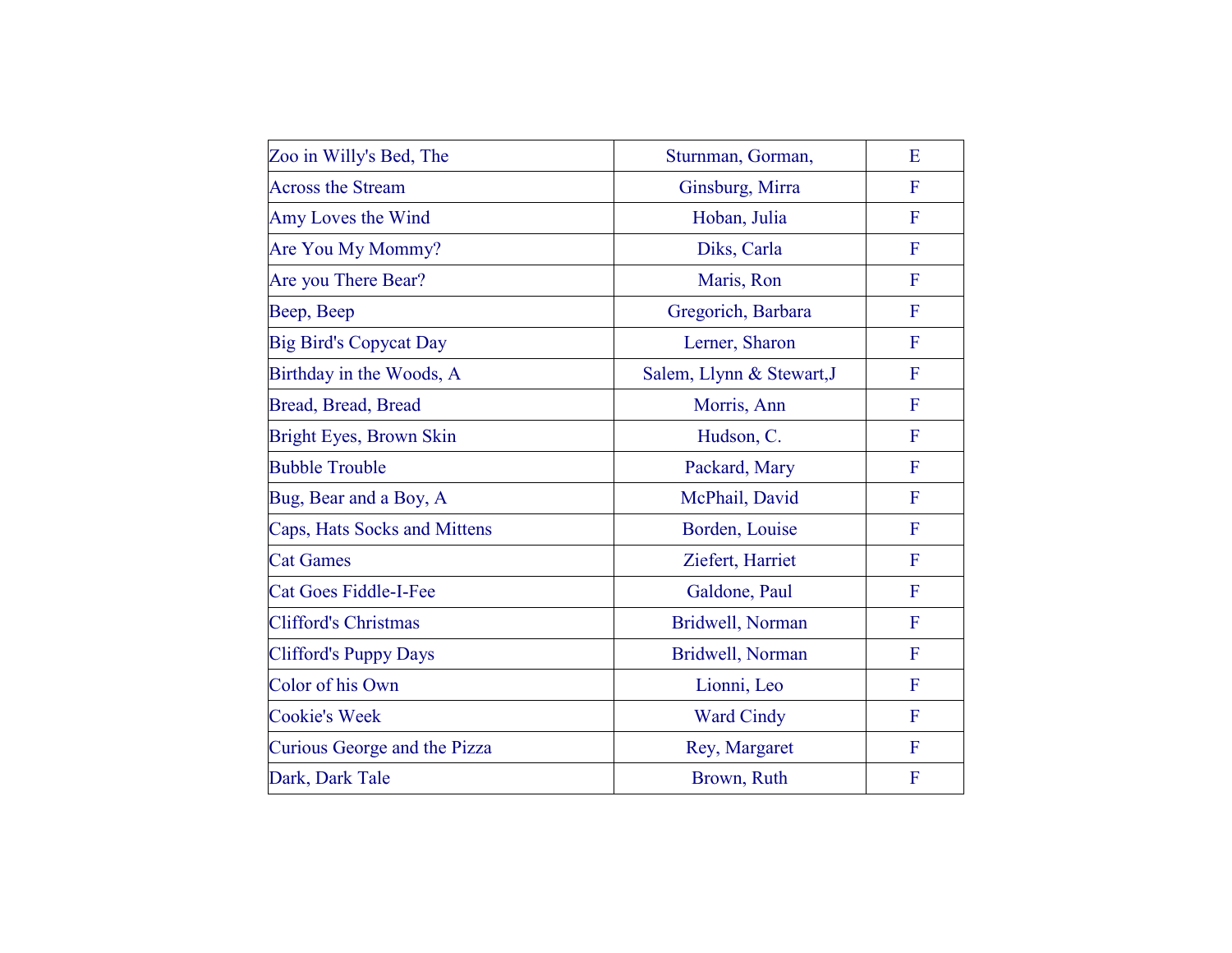| Zoo in Willy's Bed, The        | Sturnman, Gorman,         | E              |
|--------------------------------|---------------------------|----------------|
| <b>Across the Stream</b>       | Ginsburg, Mirra           | F              |
| Amy Loves the Wind             | Hoban, Julia              | F              |
| Are You My Mommy?              | Diks, Carla               | F              |
| Are you There Bear?            | Maris, Ron                | F              |
| Beep, Beep                     | Gregorich, Barbara        | F              |
| <b>Big Bird's Copycat Day</b>  | Lerner, Sharon            | F              |
| Birthday in the Woods, A       | Salem, Llynn & Stewart, J | F              |
| Bread, Bread, Bread            | Morris, Ann               | F              |
| <b>Bright Eyes, Brown Skin</b> | Hudson, C.                | F              |
| <b>Bubble Trouble</b>          | Packard, Mary             | F              |
| Bug, Bear and a Boy, A         | McPhail, David            | F              |
| Caps, Hats Socks and Mittens   | Borden, Louise            | $\mathbf F$    |
| <b>Cat Games</b>               | Ziefert, Harriet          | F              |
| <b>Cat Goes Fiddle-I-Fee</b>   | Galdone, Paul             | $\mathbf F$    |
| <b>Clifford's Christmas</b>    | Bridwell, Norman          | F              |
| <b>Clifford's Puppy Days</b>   | Bridwell, Norman          | $\mathbf F$    |
| Color of his Own               | Lionni, Leo               | $\overline{F}$ |
| <b>Cookie's Week</b>           | <b>Ward Cindy</b>         | F              |
| Curious George and the Pizza   | Rey, Margaret             | F              |
| Dark, Dark Tale                | Brown, Ruth               | F              |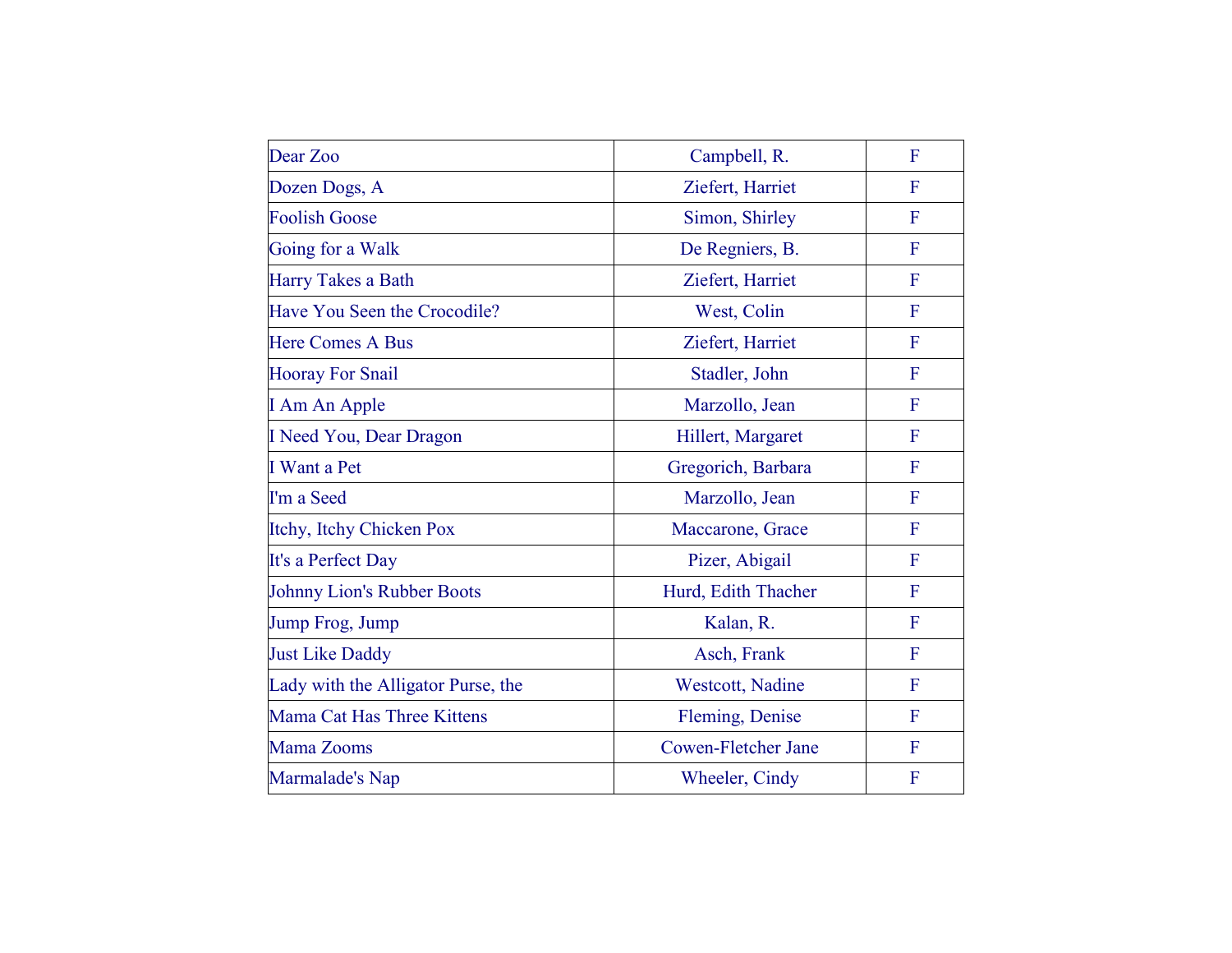| Dear Zoo                           | Campbell, R.        | F            |
|------------------------------------|---------------------|--------------|
| Dozen Dogs, A                      | Ziefert, Harriet    | F            |
| <b>Foolish Goose</b>               | Simon, Shirley      | F            |
| Going for a Walk                   | De Regniers, B.     | $\mathbf{F}$ |
| Harry Takes a Bath                 | Ziefert, Harriet    | $\mathbf F$  |
| Have You Seen the Crocodile?       | West, Colin         | F            |
| <b>Here Comes A Bus</b>            | Ziefert, Harriet    | F            |
| <b>Hooray For Snail</b>            | Stadler, John       | F            |
| I Am An Apple                      | Marzollo, Jean      | F            |
| I Need You, Dear Dragon            | Hillert, Margaret   | $\mathbf{F}$ |
| I Want a Pet                       | Gregorich, Barbara  | $\mathbf{F}$ |
| I'm a Seed                         | Marzollo, Jean      | $\mathbf F$  |
| Itchy, Itchy Chicken Pox           | Maccarone, Grace    | $\mathbf F$  |
| It's a Perfect Day                 | Pizer, Abigail      | $\mathbf{F}$ |
| <b>Johnny Lion's Rubber Boots</b>  | Hurd, Edith Thacher | $\mathbf{F}$ |
| Jump Frog, Jump                    | Kalan, R.           | F            |
| <b>Just Like Daddy</b>             | Asch, Frank         | $\mathbf F$  |
| Lady with the Alligator Purse, the | Westcott, Nadine    | $\mathbf F$  |
| Mama Cat Has Three Kittens         | Fleming, Denise     | $\mathbf F$  |
| Mama Zooms                         | Cowen-Fletcher Jane | $\mathbf F$  |
| Marmalade's Nap                    | Wheeler, Cindy      | F            |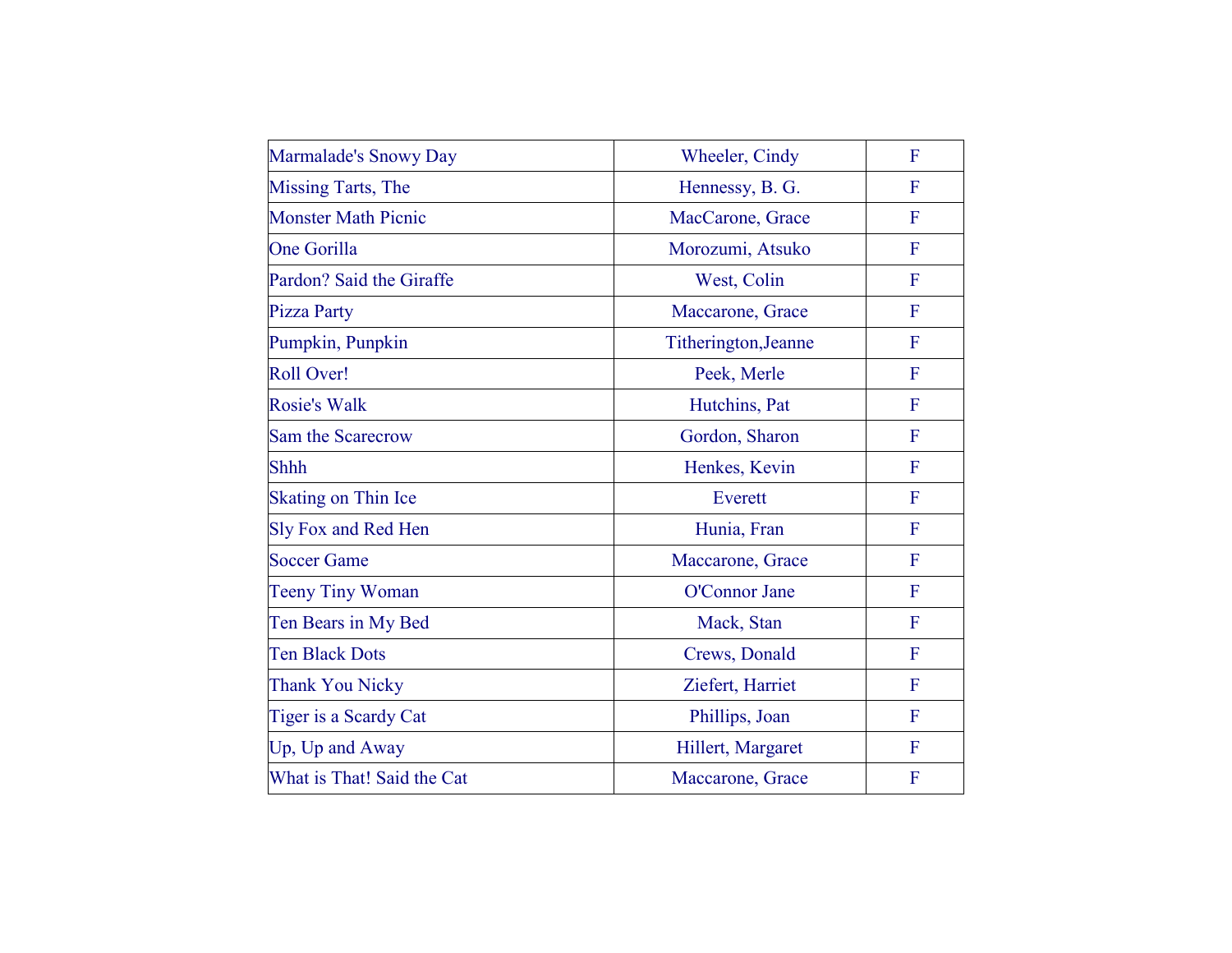| Marmalade's Snowy Day      | Wheeler, Cindy       | F              |
|----------------------------|----------------------|----------------|
| <b>Missing Tarts, The</b>  | Hennessy, B. G.      | F              |
| <b>Monster Math Picnic</b> | MacCarone, Grace     | $\mathbf F$    |
| <b>One Gorilla</b>         | Morozumi, Atsuko     | $\mathbf{F}$   |
| Pardon? Said the Giraffe   | West, Colin          | $\mathbf{F}$   |
| <b>Pizza Party</b>         | Maccarone, Grace     | F              |
| Pumpkin, Punpkin           | Titherington, Jeanne | F              |
| <b>Roll Over!</b>          | Peek, Merle          | $\mathbf{F}$   |
| <b>Rosie's Walk</b>        | Hutchins, Pat        | $\mathbf{F}$   |
| Sam the Scarecrow          | Gordon, Sharon       | F              |
| <b>Shhh</b>                | Henkes, Kevin        | $\mathbf F$    |
| <b>Skating on Thin Ice</b> | Everett              | F              |
| Sly Fox and Red Hen        | Hunia, Fran          | $\mathbf{F}$   |
| <b>Soccer Game</b>         | Maccarone, Grace     | $\mathbf F$    |
| <b>Teeny Tiny Woman</b>    | O'Connor Jane        | $\overline{F}$ |
| Ten Bears in My Bed        | Mack, Stan           | F              |
| <b>Ten Black Dots</b>      | Crews, Donald        | $\mathbf F$    |
| <b>Thank You Nicky</b>     | Ziefert, Harriet     | $\overline{F}$ |
| Tiger is a Scardy Cat      | Phillips, Joan       | $\mathbf{F}$   |
| Up, Up and Away            | Hillert, Margaret    | $\mathbf F$    |
| What is That! Said the Cat | Maccarone, Grace     | F              |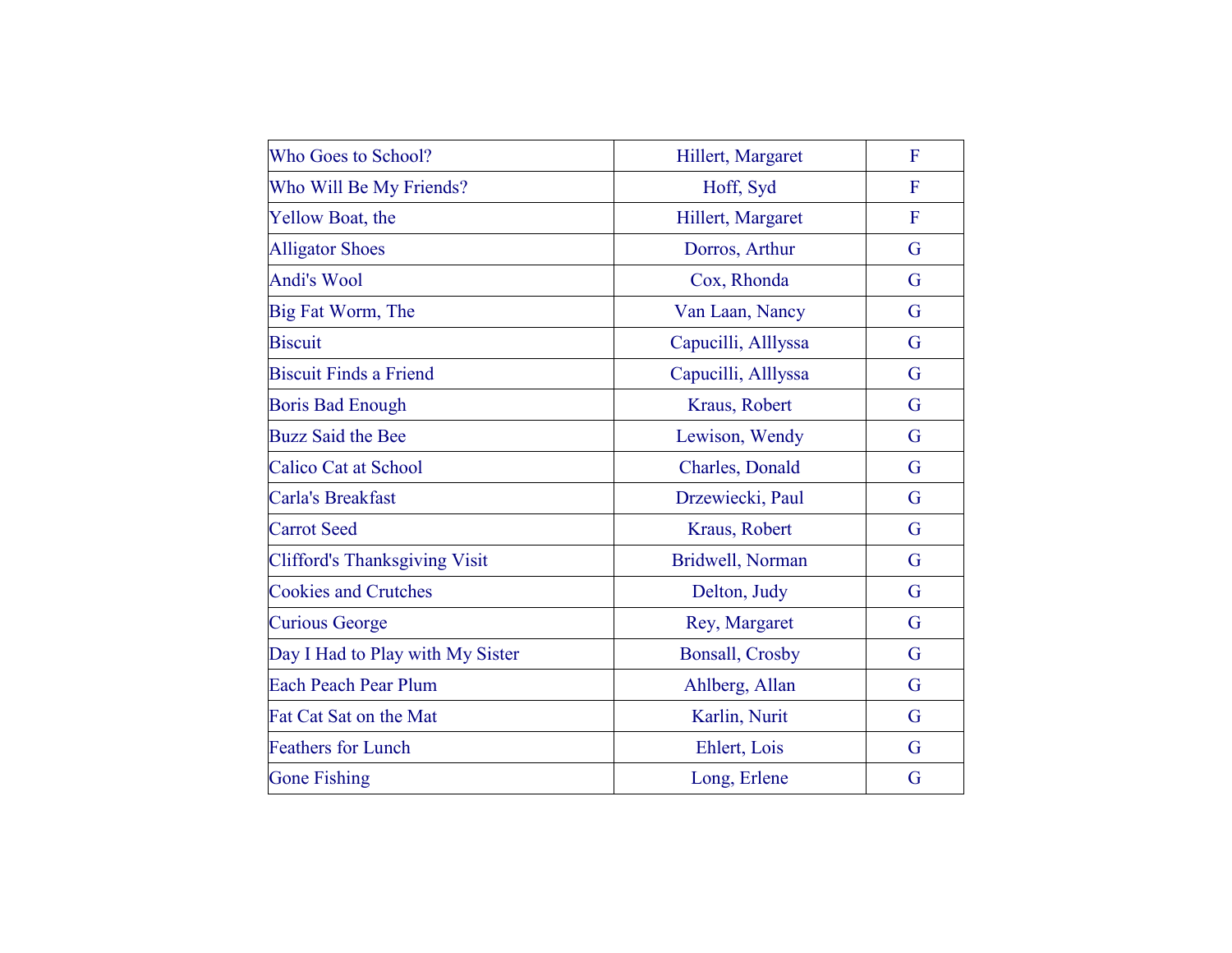| Who Goes to School?                  | Hillert, Margaret      | F              |
|--------------------------------------|------------------------|----------------|
| Who Will Be My Friends?              | Hoff, Syd              | F              |
| <b>Yellow Boat, the</b>              | Hillert, Margaret      | $\overline{F}$ |
| <b>Alligator Shoes</b>               | Dorros, Arthur         | G              |
| <b>Andi's Wool</b>                   | Cox, Rhonda            | G              |
| Big Fat Worm, The                    | Van Laan, Nancy        | G              |
| <b>Biscuit</b>                       | Capucilli, Alllyssa    | G              |
| <b>Biscuit Finds a Friend</b>        | Capucilli, Alllyssa    | G              |
| <b>Boris Bad Enough</b>              | Kraus, Robert          | G              |
| <b>Buzz Said the Bee</b>             | Lewison, Wendy         | G              |
| <b>Calico Cat at School</b>          | Charles, Donald        | G              |
| Carla's Breakfast                    | Drzewiecki, Paul       | G              |
| <b>Carrot</b> Seed                   | Kraus, Robert          | G              |
| <b>Clifford's Thanksgiving Visit</b> | Bridwell, Norman       | G              |
| <b>Cookies and Crutches</b>          | Delton, Judy           | G              |
| <b>Curious George</b>                | Rey, Margaret          | G              |
| Day I Had to Play with My Sister     | <b>Bonsall, Crosby</b> | G              |
| <b>Each Peach Pear Plum</b>          | Ahlberg, Allan         | G              |
| Fat Cat Sat on the Mat               | Karlin, Nurit          | G              |
| <b>Feathers for Lunch</b>            | Ehlert, Lois           | G              |
| <b>Gone Fishing</b>                  | Long, Erlene           | G              |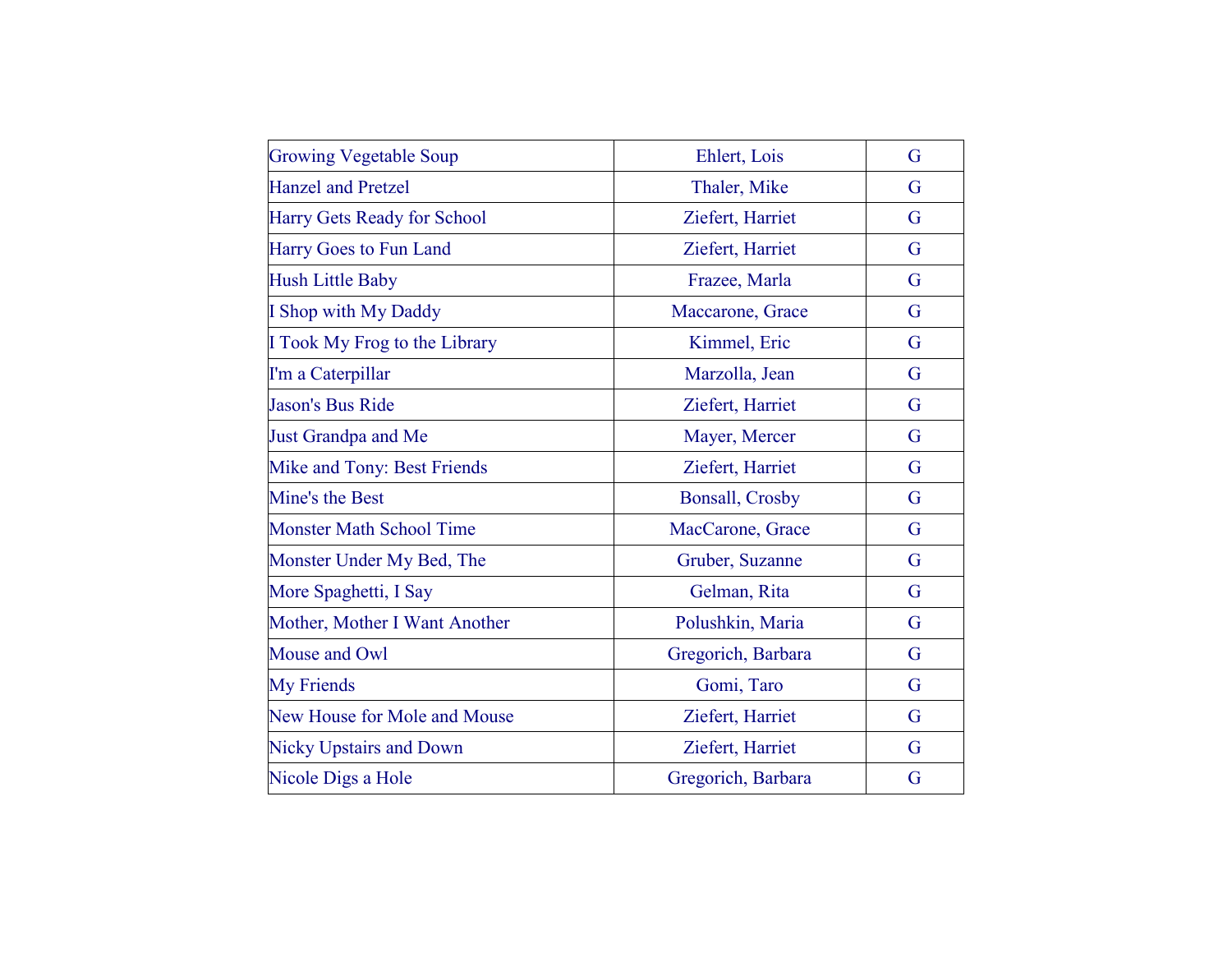| <b>Growing Vegetable Soup</b>   | Ehlert, Lois           | G |
|---------------------------------|------------------------|---|
| <b>Hanzel and Pretzel</b>       | Thaler, Mike           | G |
| Harry Gets Ready for School     | Ziefert, Harriet       | G |
| Harry Goes to Fun Land          | Ziefert, Harriet       | G |
| <b>Hush Little Baby</b>         | Frazee, Marla          | G |
| I Shop with My Daddy            | Maccarone, Grace       | G |
| I Took My Frog to the Library   | Kimmel, Eric           | G |
| I'm a Caterpillar               | Marzolla, Jean         | G |
| Jason's Bus Ride                | Ziefert, Harriet       | G |
| <b>Just Grandpa and Me</b>      | Mayer, Mercer          | G |
| Mike and Tony: Best Friends     | Ziefert, Harriet       | G |
| Mine's the Best                 | <b>Bonsall, Crosby</b> | G |
| <b>Monster Math School Time</b> | MacCarone, Grace       | G |
| Monster Under My Bed, The       | Gruber, Suzanne        | G |
| More Spaghetti, I Say           | Gelman, Rita           | G |
| Mother, Mother I Want Another   | Polushkin, Maria       | G |
| Mouse and Owl                   | Gregorich, Barbara     | G |
| <b>My Friends</b>               | Gomi, Taro             | G |
| New House for Mole and Mouse    | Ziefert, Harriet       | G |
| <b>Nicky Upstairs and Down</b>  | Ziefert, Harriet       | G |
| Nicole Digs a Hole              | Gregorich, Barbara     | G |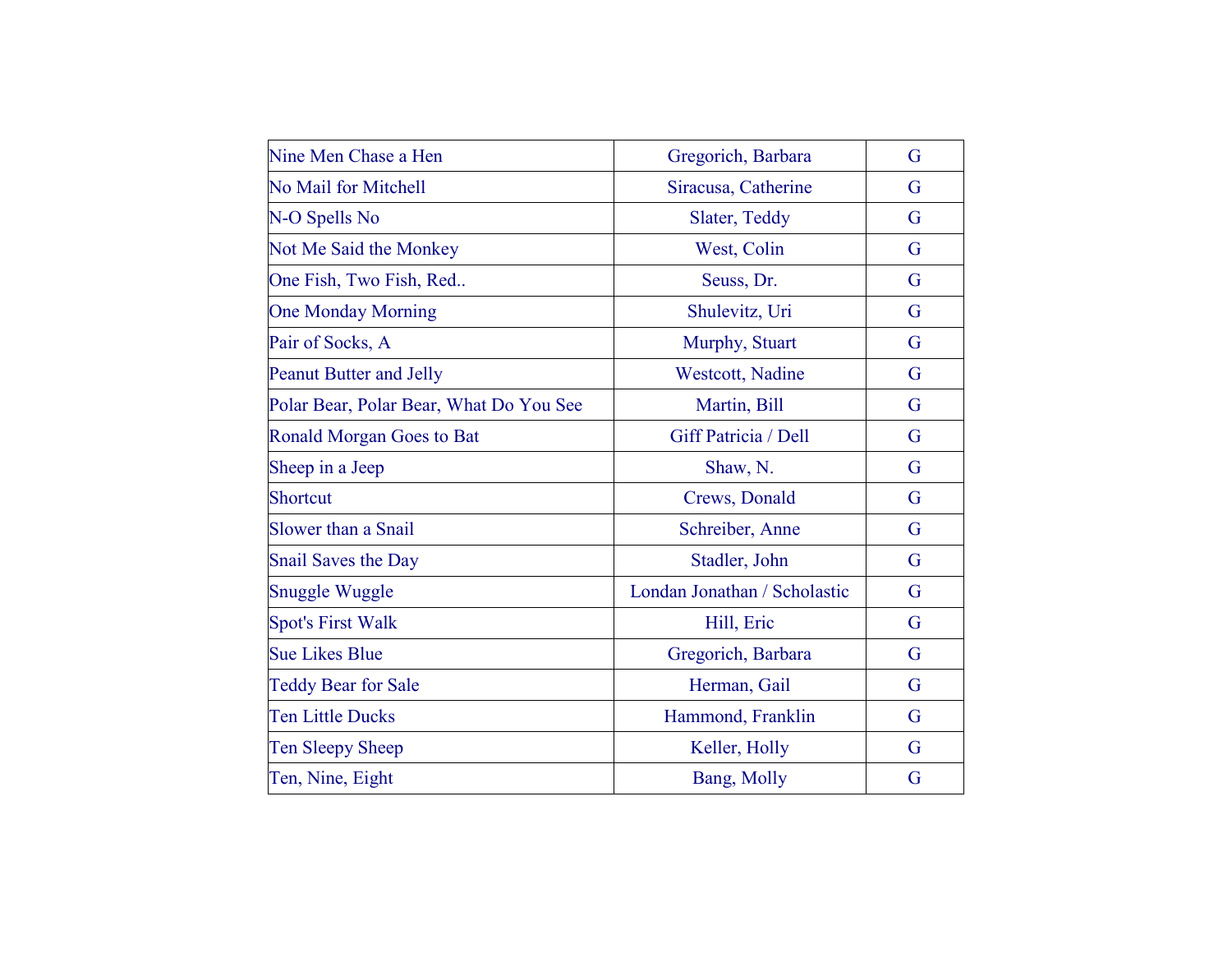| Nine Men Chase a Hen                    | Gregorich, Barbara           | G |
|-----------------------------------------|------------------------------|---|
| <b>No Mail for Mitchell</b>             | Siracusa, Catherine          | G |
| N-O Spells No                           | Slater, Teddy                | G |
| Not Me Said the Monkey                  | West, Colin                  | G |
| One Fish, Two Fish, Red                 | Seuss, Dr.                   | G |
| <b>One Monday Morning</b>               | Shulevitz, Uri               | G |
| Pair of Socks, A                        | Murphy, Stuart               | G |
| <b>Peanut Butter and Jelly</b>          | Westcott, Nadine             | G |
| Polar Bear, Polar Bear, What Do You See | Martin, Bill                 | G |
| <b>Ronald Morgan Goes to Bat</b>        | Giff Patricia / Dell         | G |
| Sheep in a Jeep                         | Shaw, N.                     | G |
| Shortcut                                | Crews, Donald                | G |
| Slower than a Snail                     | Schreiber, Anne              | G |
| <b>Snail Saves the Day</b>              | Stadler, John                | G |
| <b>Snuggle Wuggle</b>                   | Londan Jonathan / Scholastic | G |
| <b>Spot's First Walk</b>                | Hill, Eric                   | G |
| <b>Sue Likes Blue</b>                   | Gregorich, Barbara           | G |
| <b>Teddy Bear for Sale</b>              | Herman, Gail                 | G |
| <b>Ten Little Ducks</b>                 | Hammond, Franklin            | G |
| Ten Sleepy Sheep                        | Keller, Holly                | G |
| Ten, Nine, Eight                        | Bang, Molly                  | G |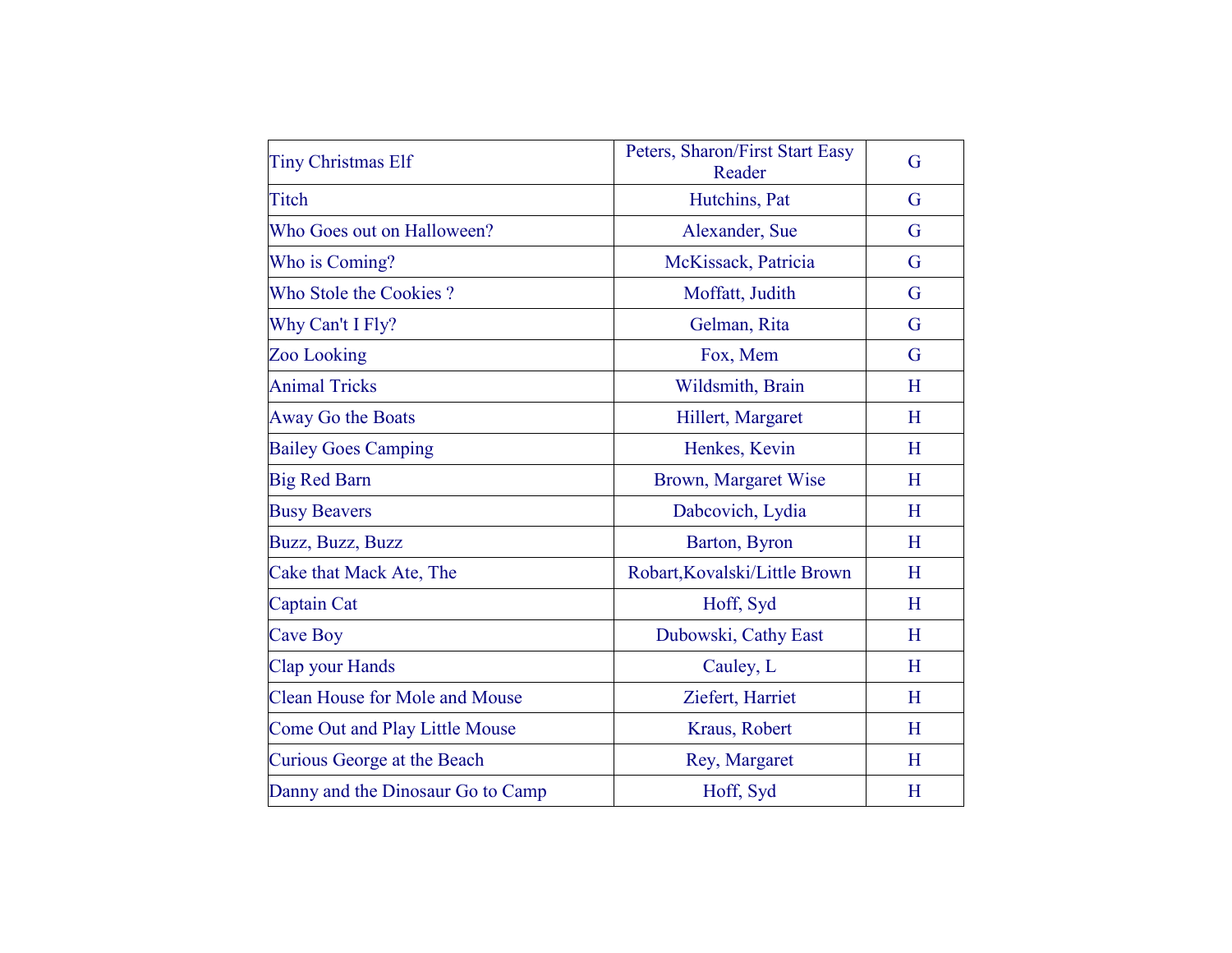| <b>Tiny Christmas Elf</b>             | Peters, Sharon/First Start Easy<br>Reader | G |
|---------------------------------------|-------------------------------------------|---|
| Titch                                 | Hutchins, Pat                             | G |
| Who Goes out on Halloween?            | Alexander, Sue                            | G |
| Who is Coming?                        | McKissack, Patricia                       | G |
| Who Stole the Cookies?                | Moffatt, Judith                           | G |
| Why Can't I Fly?                      | Gelman, Rita                              | G |
| Zoo Looking                           | Fox, Mem                                  | G |
| <b>Animal Tricks</b>                  | Wildsmith, Brain                          | H |
| Away Go the Boats                     | Hillert, Margaret                         | H |
| <b>Bailey Goes Camping</b>            | Henkes, Kevin                             | H |
| <b>Big Red Barn</b>                   | Brown, Margaret Wise                      | H |
| <b>Busy Beavers</b>                   | Dabcovich, Lydia                          | H |
| Buzz, Buzz, Buzz                      | Barton, Byron                             | H |
| Cake that Mack Ate, The               | Robart, Kovalski/Little Brown             | H |
| Captain Cat                           | Hoff, Syd                                 | H |
| <b>Cave Boy</b>                       | Dubowski, Cathy East                      | H |
| Clap your Hands                       | Cauley, L                                 | H |
| <b>Clean House for Mole and Mouse</b> | Ziefert, Harriet                          | H |
| <b>Come Out and Play Little Mouse</b> | Kraus, Robert                             | H |
| Curious George at the Beach           | Rey, Margaret                             | H |
| Danny and the Dinosaur Go to Camp     | Hoff, Syd                                 | H |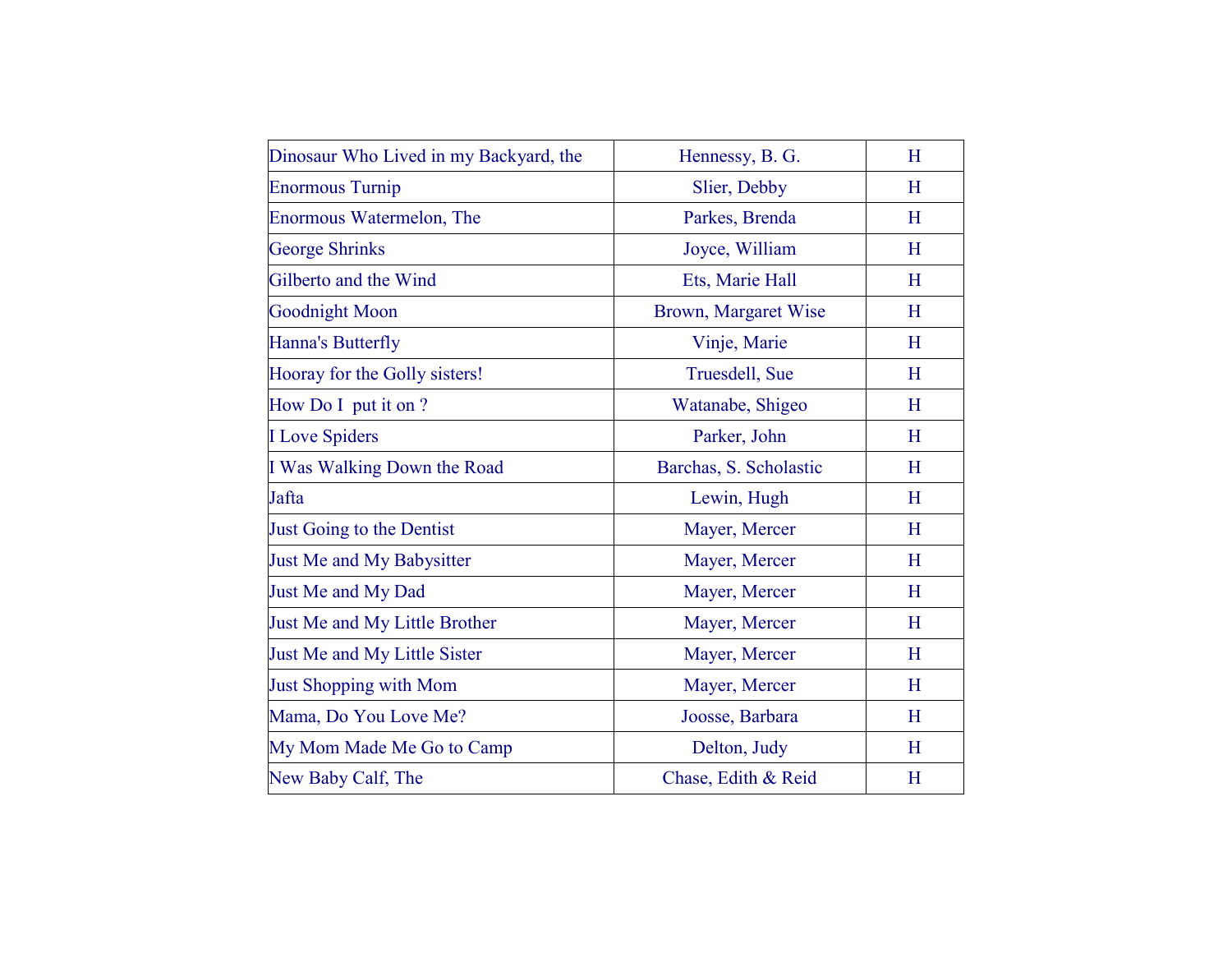| Dinosaur Who Lived in my Backyard, the | Hennessy, B. G.        | H |
|----------------------------------------|------------------------|---|
| <b>Enormous Turnip</b>                 | Slier, Debby           | H |
| Enormous Watermelon, The               | Parkes, Brenda         | H |
| <b>George Shrinks</b>                  | Joyce, William         | H |
| Gilberto and the Wind                  | Ets, Marie Hall        | H |
| <b>Goodnight Moon</b>                  | Brown, Margaret Wise   | H |
| Hanna's Butterfly                      | Vinje, Marie           | H |
| Hooray for the Golly sisters!          | Truesdell, Sue         | H |
| How Do I put it on ?                   | Watanabe, Shigeo       | H |
| <b>I</b> Love Spiders                  | Parker, John           | H |
| I Was Walking Down the Road            | Barchas, S. Scholastic | H |
| Jafta                                  | Lewin, Hugh            | H |
| Just Going to the Dentist              | Mayer, Mercer          | H |
| Just Me and My Babysitter              | Mayer, Mercer          | H |
| Just Me and My Dad                     | Mayer, Mercer          | H |
| Just Me and My Little Brother          | Mayer, Mercer          | H |
| Just Me and My Little Sister           | Mayer, Mercer          | H |
| <b>Just Shopping with Mom</b>          | Mayer, Mercer          | H |
| Mama, Do You Love Me?                  | Joosse, Barbara        | H |
| My Mom Made Me Go to Camp              | Delton, Judy           | H |
| New Baby Calf, The                     | Chase, Edith & Reid    | H |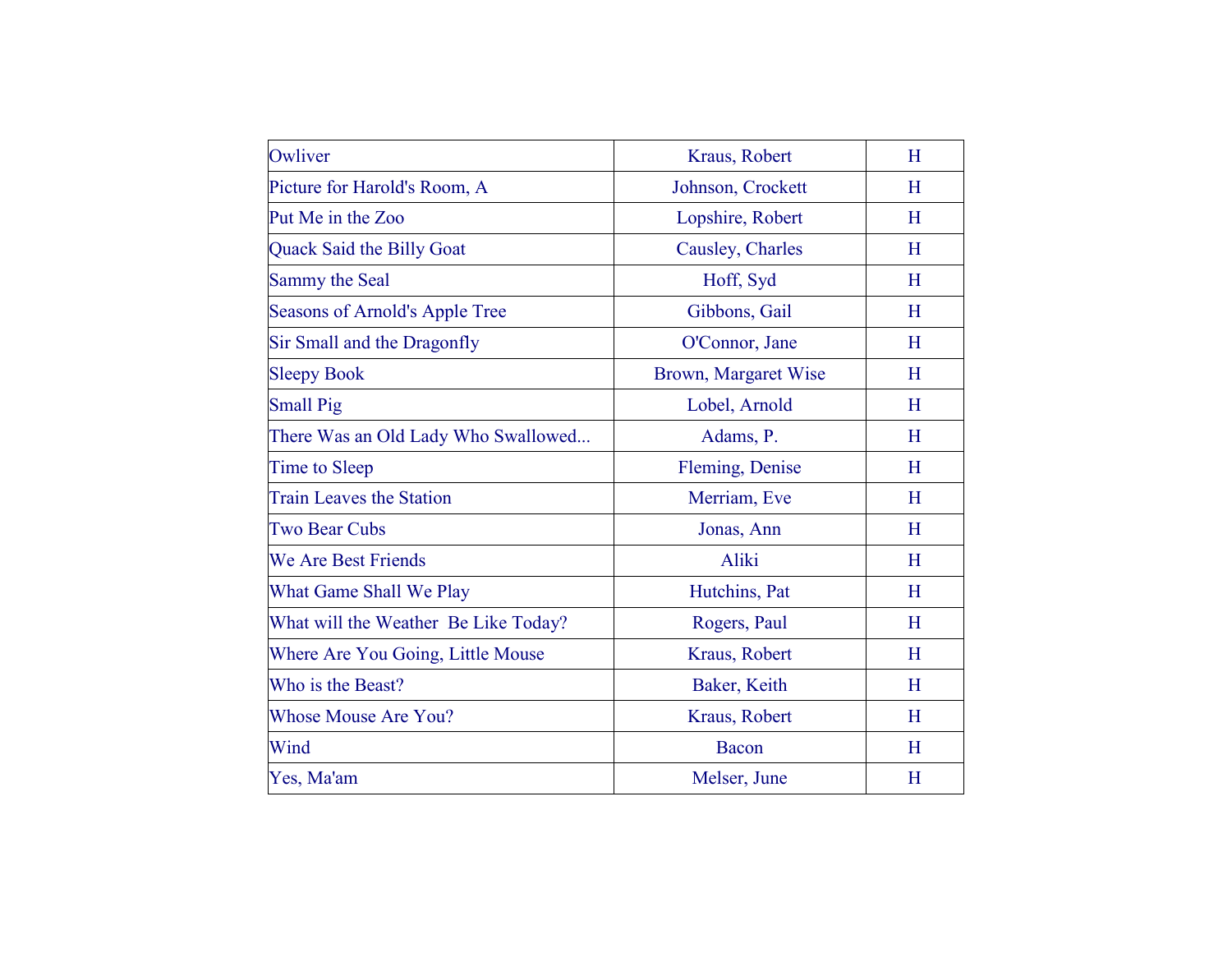| Owliver                              | Kraus, Robert        | H |
|--------------------------------------|----------------------|---|
| Picture for Harold's Room, A         | Johnson, Crockett    | H |
| Put Me in the Zoo                    | Lopshire, Robert     | H |
| <b>Quack Said the Billy Goat</b>     | Causley, Charles     | H |
| Sammy the Seal                       | Hoff, Syd            | H |
| Seasons of Arnold's Apple Tree       | Gibbons, Gail        | H |
| Sir Small and the Dragonfly          | O'Connor, Jane       | H |
| <b>Sleepy Book</b>                   | Brown, Margaret Wise | H |
| <b>Small Pig</b>                     | Lobel, Arnold        | H |
| There Was an Old Lady Who Swallowed  | Adams, P.            | H |
| Time to Sleep                        | Fleming, Denise      | H |
| <b>Train Leaves the Station</b>      | Merriam, Eve         | H |
| <b>Two Bear Cubs</b>                 | Jonas, Ann           | H |
| <b>We Are Best Friends</b>           | Aliki                | H |
| What Game Shall We Play              | Hutchins, Pat        | H |
| What will the Weather Be Like Today? | Rogers, Paul         | H |
| Where Are You Going, Little Mouse    | Kraus, Robert        | H |
| Who is the Beast?                    | Baker, Keith         | H |
| <b>Whose Mouse Are You?</b>          | Kraus, Robert        | H |
| Wind                                 | Bacon                | H |
| Yes, Ma'am                           | Melser, June         | H |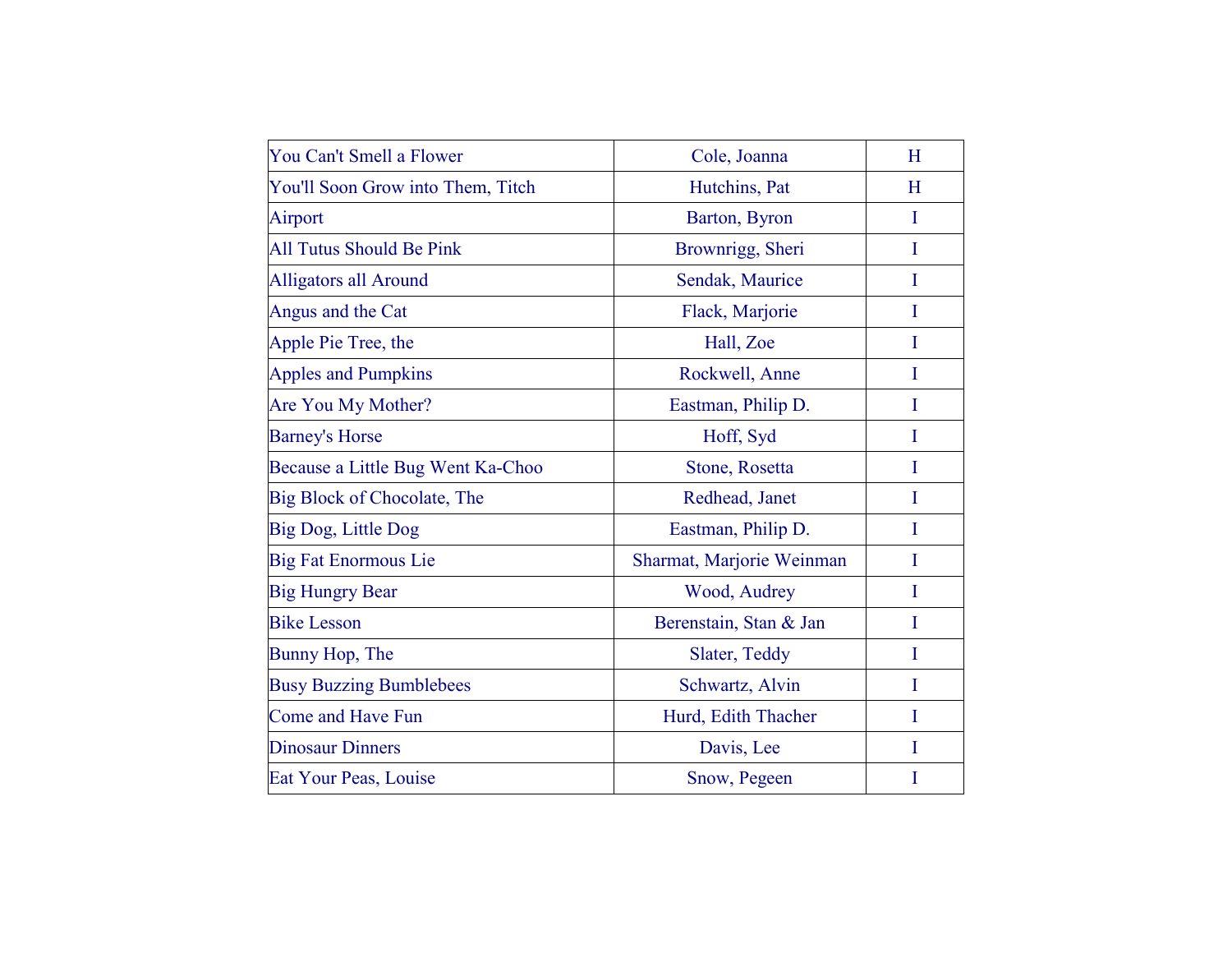| You Can't Smell a Flower          | Cole, Joanna              | H |
|-----------------------------------|---------------------------|---|
| You'll Soon Grow into Them, Titch | Hutchins, Pat             | H |
| Airport                           | Barton, Byron             | I |
| <b>All Tutus Should Be Pink</b>   | Brownrigg, Sheri          | I |
| <b>Alligators all Around</b>      | Sendak, Maurice           | I |
| Angus and the Cat                 | Flack, Marjorie           | I |
| Apple Pie Tree, the               | Hall, Zoe                 | I |
| <b>Apples and Pumpkins</b>        | Rockwell, Anne            | I |
| Are You My Mother?                | Eastman, Philip D.        | I |
| <b>Barney's Horse</b>             | Hoff, Syd                 | I |
| Because a Little Bug Went Ka-Choo | Stone, Rosetta            | Ι |
| Big Block of Chocolate, The       | Redhead, Janet            | I |
| Big Dog, Little Dog               | Eastman, Philip D.        | I |
| <b>Big Fat Enormous Lie</b>       | Sharmat, Marjorie Weinman | I |
| <b>Big Hungry Bear</b>            | Wood, Audrey              | I |
| <b>Bike Lesson</b>                | Berenstain, Stan & Jan    | I |
| Bunny Hop, The                    | Slater, Teddy             | I |
| <b>Busy Buzzing Bumblebees</b>    | Schwartz, Alvin           | I |
| <b>Come and Have Fun</b>          | Hurd, Edith Thacher       | I |
| <b>Dinosaur Dinners</b>           | Davis, Lee                | I |
| Eat Your Peas, Louise             | Snow, Pegeen              | I |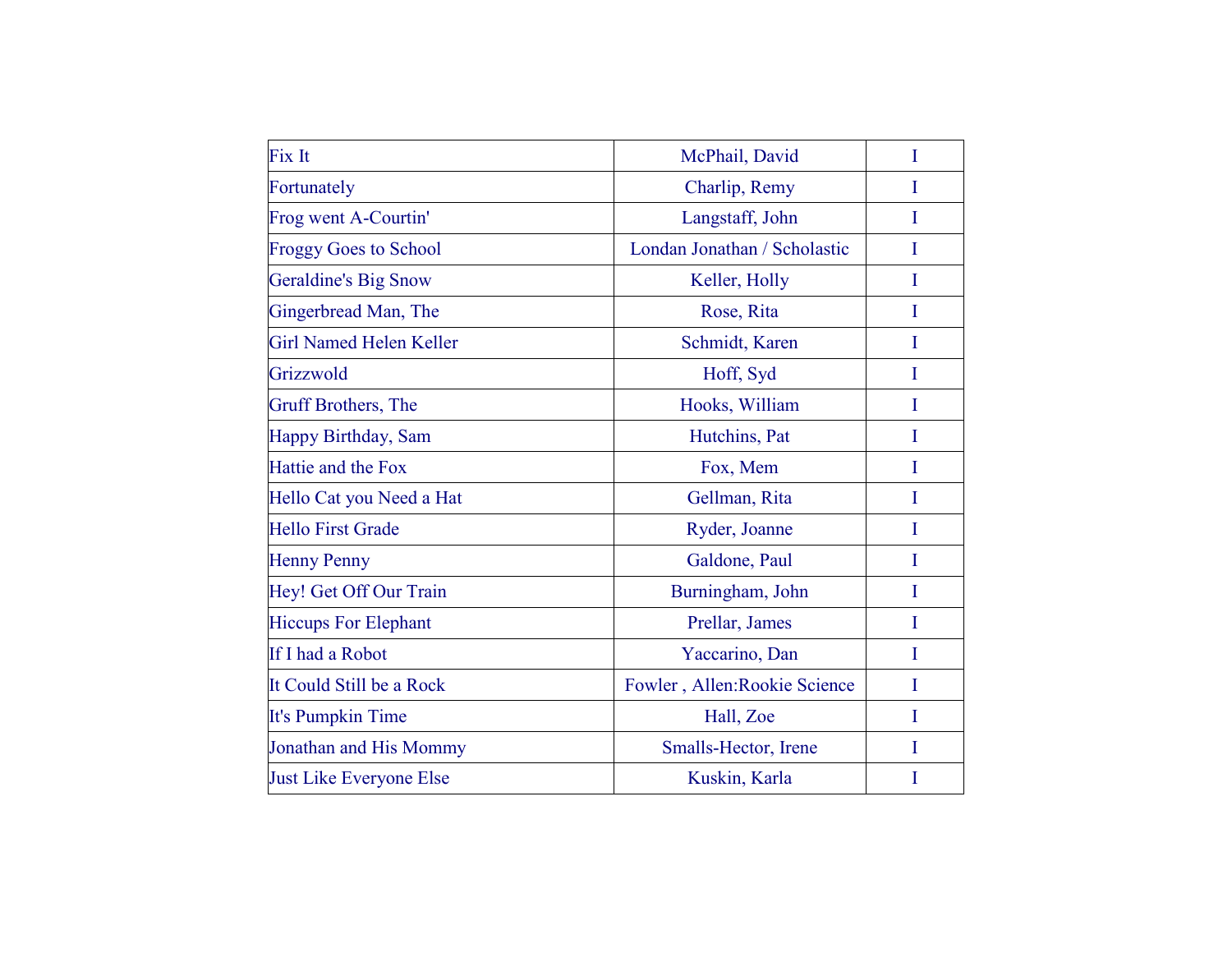| Fix It                         | McPhail, David                | I |
|--------------------------------|-------------------------------|---|
| Fortunately                    | Charlip, Remy                 | L |
| Frog went A-Courtin'           | Langstaff, John               | I |
| <b>Froggy Goes to School</b>   | Londan Jonathan / Scholastic  | I |
| <b>Geraldine's Big Snow</b>    | Keller, Holly                 | I |
| Gingerbread Man, The           | Rose, Rita                    | I |
| <b>Girl Named Helen Keller</b> | Schmidt, Karen                | I |
| Grizzwold                      | Hoff, Syd                     | I |
| <b>Gruff Brothers</b> , The    | Hooks, William                | I |
| Happy Birthday, Sam            | Hutchins, Pat                 | I |
| Hattie and the Fox             | Fox, Mem                      | I |
| Hello Cat you Need a Hat       | Gellman, Rita                 | I |
| <b>Hello First Grade</b>       | Ryder, Joanne                 | I |
| <b>Henny Penny</b>             | Galdone, Paul                 | I |
| Hey! Get Off Our Train         | Burningham, John              | I |
| <b>Hiccups For Elephant</b>    | Prellar, James                | I |
| If I had a Robot               | Yaccarino, Dan                | I |
| It Could Still be a Rock       | Fowler, Allen: Rookie Science | I |
| It's Pumpkin Time              | Hall, Zoe                     | I |
| Jonathan and His Mommy         | Smalls-Hector, Irene          | I |
| <b>Just Like Everyone Else</b> | Kuskin, Karla                 | I |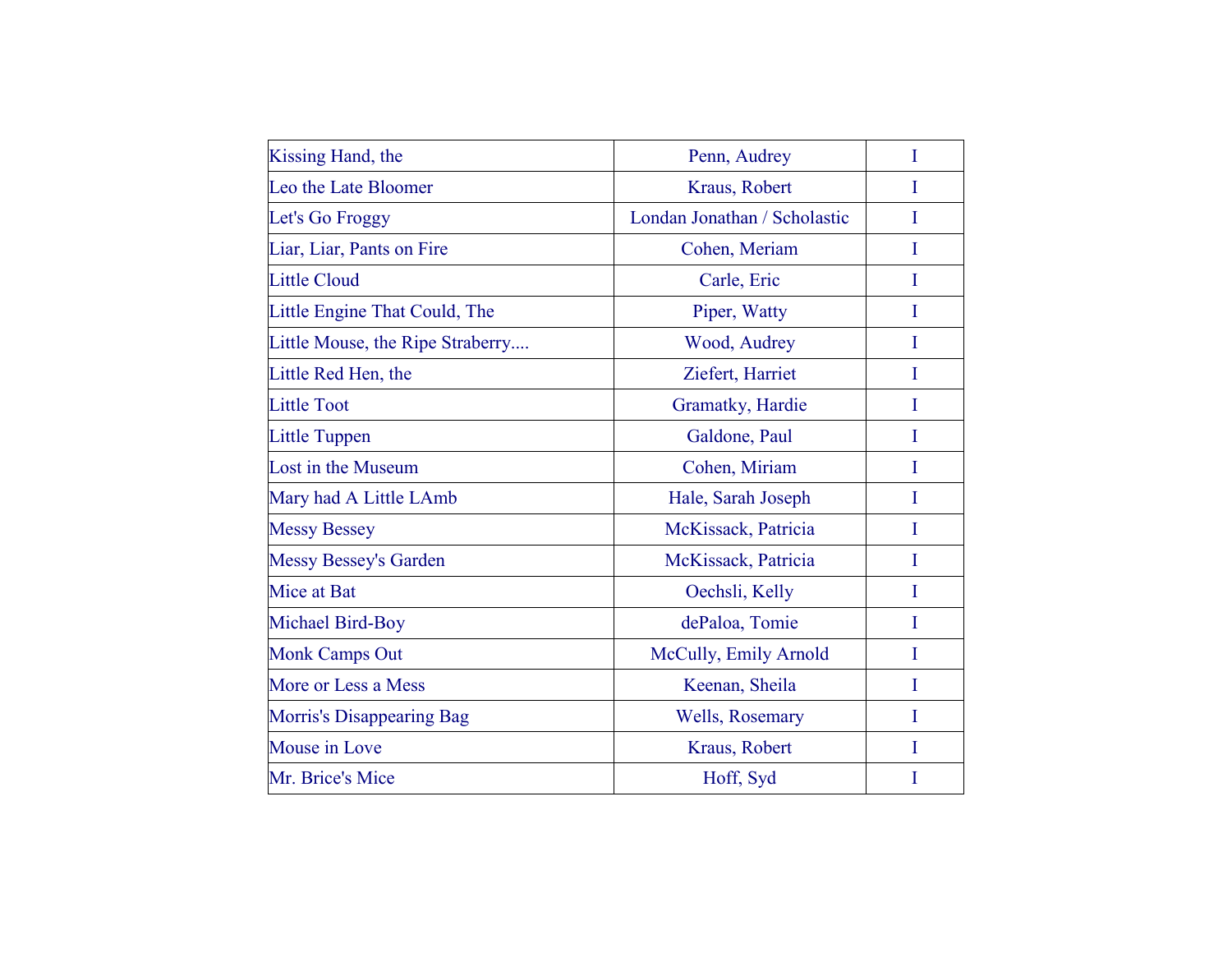| Kissing Hand, the                | Penn, Audrey                 | I |
|----------------------------------|------------------------------|---|
| Leo the Late Bloomer             | Kraus, Robert                | I |
| Let's Go Froggy                  | Londan Jonathan / Scholastic | I |
| Liar, Liar, Pants on Fire        | Cohen, Meriam                | I |
| <b>Little Cloud</b>              | Carle, Eric                  | I |
| Little Engine That Could, The    | Piper, Watty                 | I |
| Little Mouse, the Ripe Straberry | Wood, Audrey                 | I |
| Little Red Hen, the              | Ziefert, Harriet             | I |
| <b>Little Toot</b>               | Gramatky, Hardie             | T |
| <b>Little Tuppen</b>             | Galdone, Paul                | I |
| Lost in the Museum               | Cohen, Miriam                | I |
| Mary had A Little LAmb           | Hale, Sarah Joseph           | I |
| <b>Messy Bessey</b>              | McKissack, Patricia          | I |
| <b>Messy Bessey's Garden</b>     | McKissack, Patricia          | I |
| Mice at Bat                      | Oechsli, Kelly               | I |
| Michael Bird-Boy                 | dePaloa, Tomie               | I |
| <b>Monk Camps Out</b>            | McCully, Emily Arnold        | I |
| More or Less a Mess              | Keenan, Sheila               | I |
| <b>Morris's Disappearing Bag</b> | Wells, Rosemary              | I |
| Mouse in Love                    | Kraus, Robert                | I |
| Mr. Brice's Mice                 | Hoff, Syd                    |   |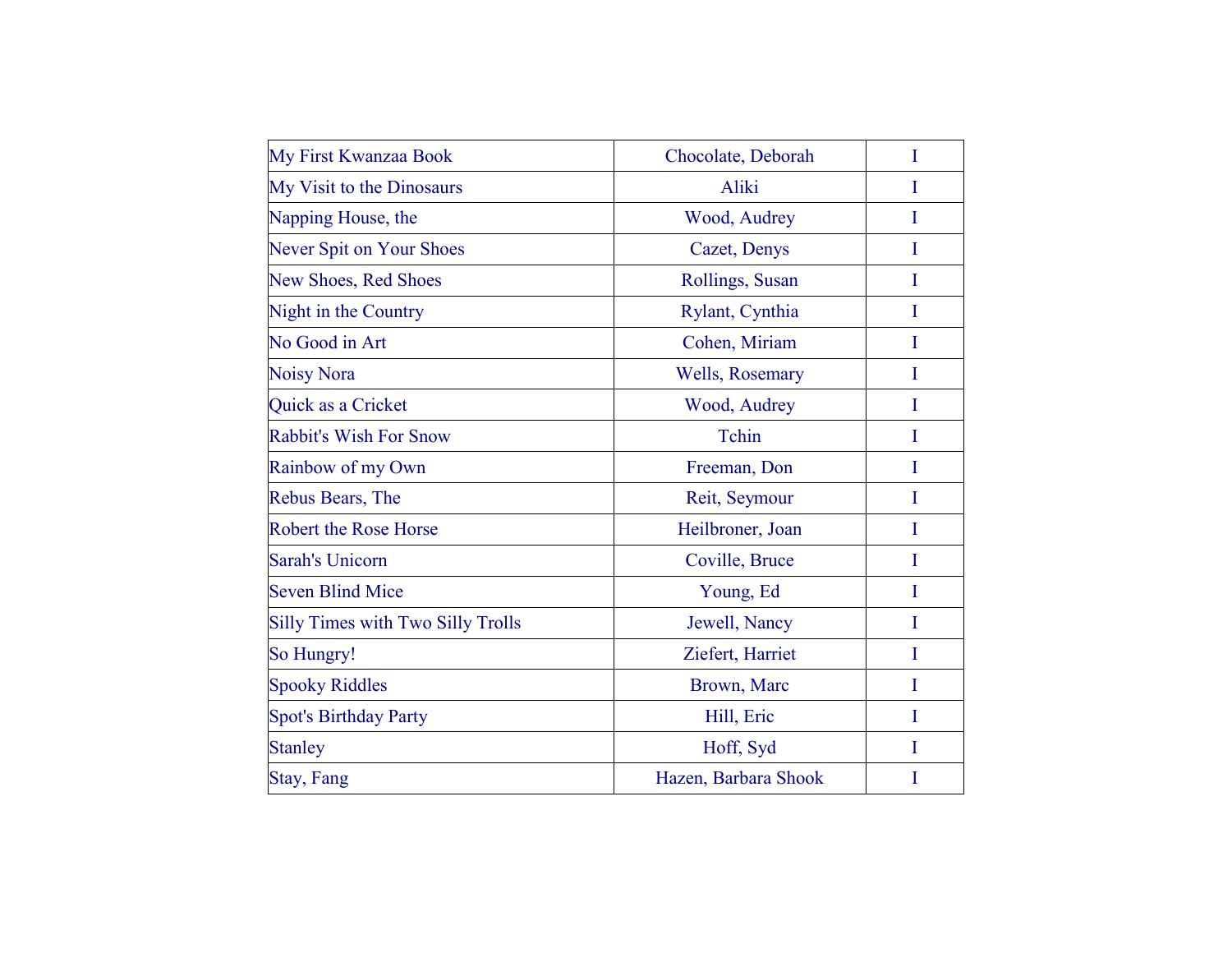| My First Kwanzaa Book                    | Chocolate, Deborah   | I |
|------------------------------------------|----------------------|---|
| My Visit to the Dinosaurs                | Aliki                |   |
| Napping House, the                       | Wood, Audrey         | I |
| <b>Never Spit on Your Shoes</b>          | Cazet, Denys         | I |
| <b>New Shoes, Red Shoes</b>              | Rollings, Susan      | I |
| Night in the Country                     | Rylant, Cynthia      | I |
| No Good in Art                           | Cohen, Miriam        | T |
| <b>Noisy Nora</b>                        | Wells, Rosemary      | I |
| Quick as a Cricket                       | Wood, Audrey         | I |
| <b>Rabbit's Wish For Snow</b>            | Tchin                | I |
| Rainbow of my Own                        | Freeman, Don         | I |
| Rebus Bears, The                         | Reit, Seymour        | I |
| <b>Robert the Rose Horse</b>             | Heilbroner, Joan     | I |
| <b>Sarah's Unicorn</b>                   | Coville, Bruce       | I |
| <b>Seven Blind Mice</b>                  | Young, Ed            | I |
| <b>Silly Times with Two Silly Trolls</b> | Jewell, Nancy        | T |
| So Hungry!                               | Ziefert, Harriet     | I |
| <b>Spooky Riddles</b>                    | Brown, Marc          | I |
| <b>Spot's Birthday Party</b>             | Hill, Eric           | I |
| <b>Stanley</b>                           | Hoff, Syd            | T |
| <b>Stay, Fang</b>                        | Hazen, Barbara Shook | I |